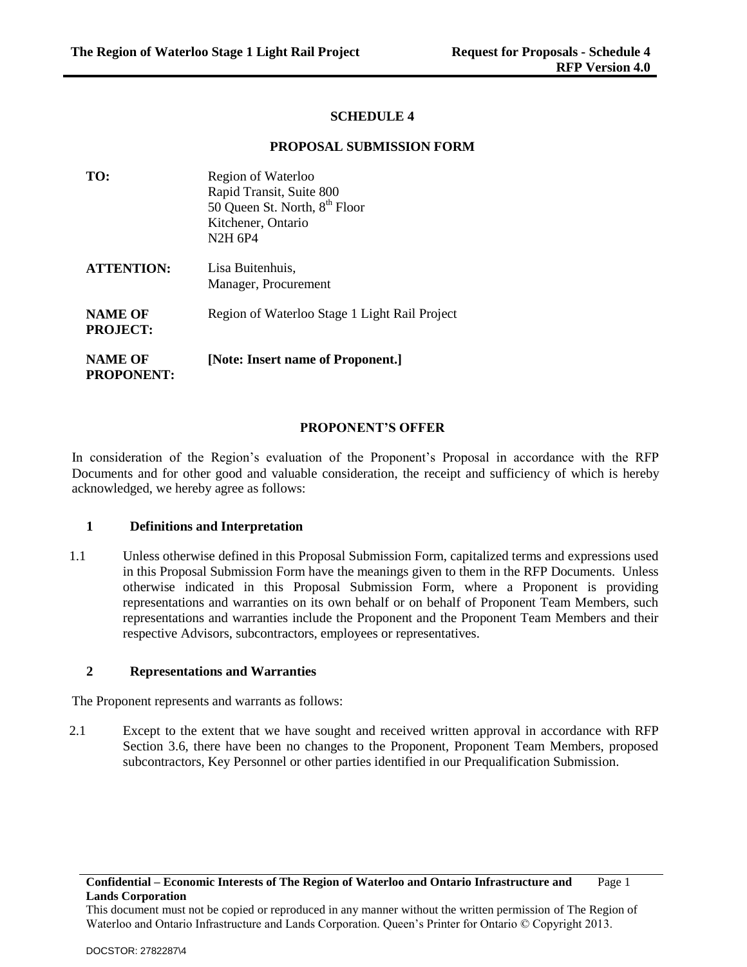### **SCHEDULE 4**

#### **PROPOSAL SUBMISSION FORM**

| TO:                                 | Region of Waterloo                            |  |
|-------------------------------------|-----------------------------------------------|--|
|                                     | Rapid Transit, Suite 800                      |  |
|                                     | 50 Queen St. North, 8 <sup>th</sup> Floor     |  |
|                                     | Kitchener, Ontario                            |  |
|                                     | N <sub>2</sub> H 6P <sub>4</sub>              |  |
| <b>ATTENTION:</b>                   | Lisa Buitenhuis.                              |  |
|                                     | Manager, Procurement                          |  |
| <b>NAME OF</b><br><b>PROJECT:</b>   | Region of Waterloo Stage 1 Light Rail Project |  |
| <b>NAME OF</b><br><b>PROPONENT:</b> | [Note: Insert name of Proponent.]             |  |

#### **PROPONENT'S OFFER**

In consideration of the Region's evaluation of the Proponent's Proposal in accordance with the RFP Documents and for other good and valuable consideration, the receipt and sufficiency of which is hereby acknowledged, we hereby agree as follows:

### **1 Definitions and Interpretation**

1.1 Unless otherwise defined in this Proposal Submission Form, capitalized terms and expressions used in this Proposal Submission Form have the meanings given to them in the RFP Documents. Unless otherwise indicated in this Proposal Submission Form, where a Proponent is providing representations and warranties on its own behalf or on behalf of Proponent Team Members, such representations and warranties include the Proponent and the Proponent Team Members and their respective Advisors, subcontractors, employees or representatives.

### **2 Representations and Warranties**

The Proponent represents and warrants as follows:

2.1 Except to the extent that we have sought and received written approval in accordance with RFP Section 3.6, there have been no changes to the Proponent, Proponent Team Members, proposed subcontractors, Key Personnel or other parties identified in our Prequalification Submission.

This document must not be copied or reproduced in any manner without the written permission of The Region of Waterloo and Ontario Infrastructure and Lands Corporation. Queen's Printer for Ontario © Copyright 2013.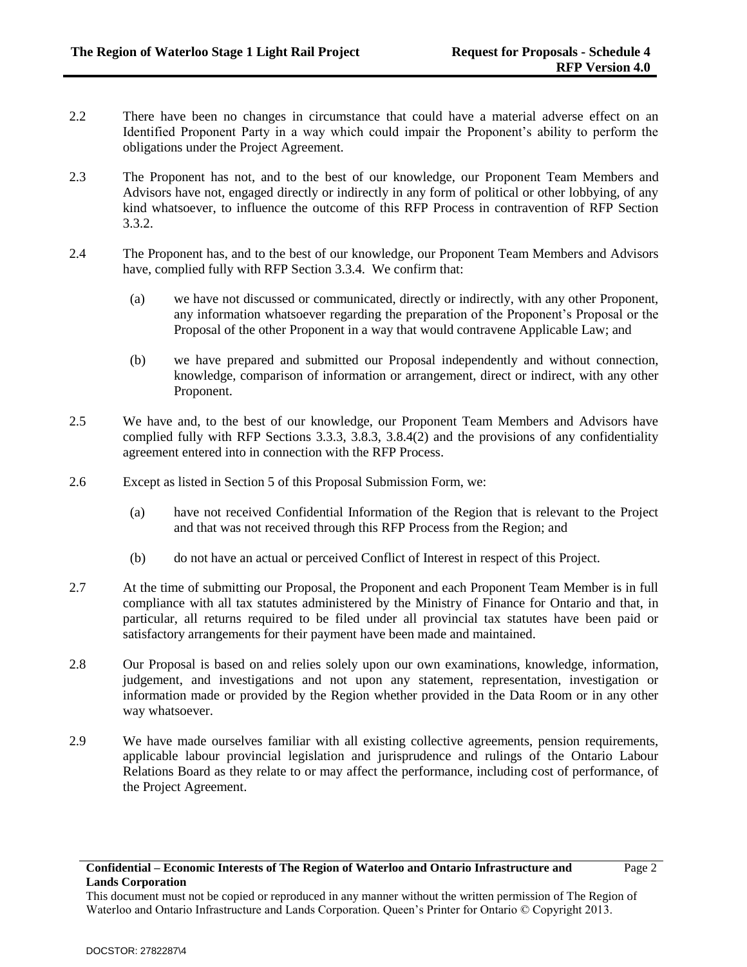- 2.2 There have been no changes in circumstance that could have a material adverse effect on an Identified Proponent Party in a way which could impair the Proponent's ability to perform the obligations under the Project Agreement.
- 2.3 The Proponent has not, and to the best of our knowledge, our Proponent Team Members and Advisors have not, engaged directly or indirectly in any form of political or other lobbying, of any kind whatsoever, to influence the outcome of this RFP Process in contravention of RFP Section 3.3.2.
- 2.4 The Proponent has, and to the best of our knowledge, our Proponent Team Members and Advisors have, complied fully with RFP Section 3.3.4. We confirm that:
	- (a) we have not discussed or communicated, directly or indirectly, with any other Proponent, any information whatsoever regarding the preparation of the Proponent's Proposal or the Proposal of the other Proponent in a way that would contravene Applicable Law; and
	- (b) we have prepared and submitted our Proposal independently and without connection, knowledge, comparison of information or arrangement, direct or indirect, with any other Proponent.
- 2.5 We have and, to the best of our knowledge, our Proponent Team Members and Advisors have complied fully with RFP Sections 3.3.3, 3.8.3, 3.8.4(2) and the provisions of any confidentiality agreement entered into in connection with the RFP Process.
- 2.6 Except as listed in Section 5 of this Proposal Submission Form, we:
	- (a) have not received Confidential Information of the Region that is relevant to the Project and that was not received through this RFP Process from the Region; and
	- (b) do not have an actual or perceived Conflict of Interest in respect of this Project.
- 2.7 At the time of submitting our Proposal, the Proponent and each Proponent Team Member is in full compliance with all tax statutes administered by the Ministry of Finance for Ontario and that, in particular, all returns required to be filed under all provincial tax statutes have been paid or satisfactory arrangements for their payment have been made and maintained.
- 2.8 Our Proposal is based on and relies solely upon our own examinations, knowledge, information, judgement, and investigations and not upon any statement, representation, investigation or information made or provided by the Region whether provided in the Data Room or in any other way whatsoever.
- 2.9 We have made ourselves familiar with all existing collective agreements, pension requirements, applicable labour provincial legislation and jurisprudence and rulings of the Ontario Labour Relations Board as they relate to or may affect the performance, including cost of performance, of the Project Agreement.

This document must not be copied or reproduced in any manner without the written permission of The Region of Waterloo and Ontario Infrastructure and Lands Corporation. Queen's Printer for Ontario © Copyright 2013.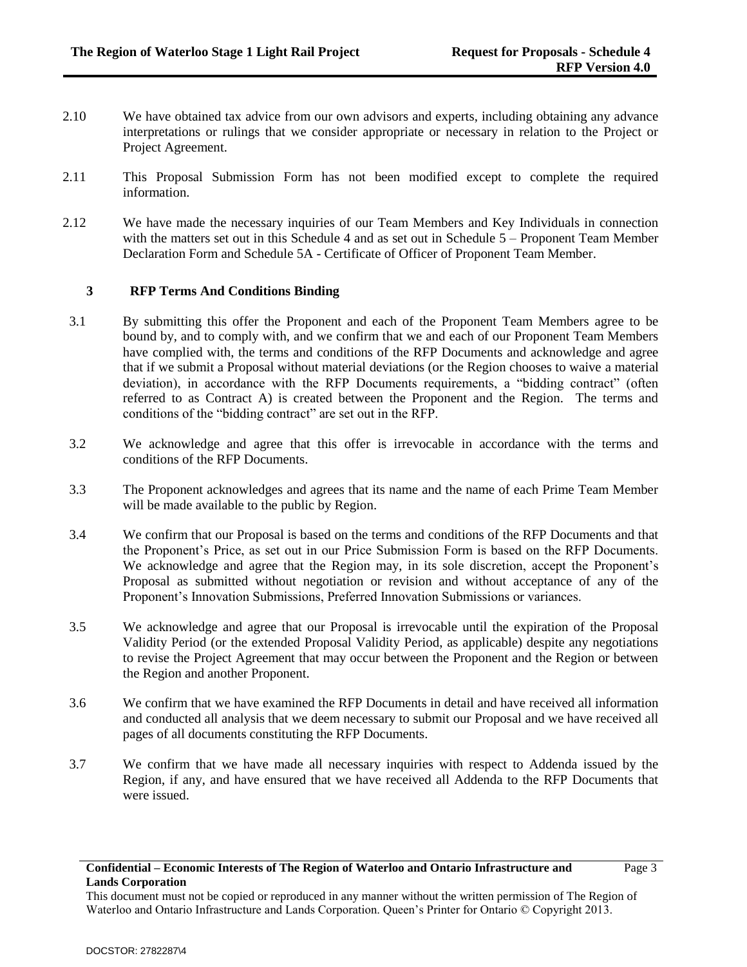- 2.10 We have obtained tax advice from our own advisors and experts, including obtaining any advance interpretations or rulings that we consider appropriate or necessary in relation to the Project or Project Agreement.
- 2.11 This Proposal Submission Form has not been modified except to complete the required information.
- 2.12 We have made the necessary inquiries of our Team Members and Key Individuals in connection with the matters set out in this Schedule 4 and as set out in Schedule 5 – Proponent Team Member Declaration Form and Schedule 5A - Certificate of Officer of Proponent Team Member.

## **3 RFP Terms And Conditions Binding**

- 3.1 By submitting this offer the Proponent and each of the Proponent Team Members agree to be bound by, and to comply with, and we confirm that we and each of our Proponent Team Members have complied with, the terms and conditions of the RFP Documents and acknowledge and agree that if we submit a Proposal without material deviations (or the Region chooses to waive a material deviation), in accordance with the RFP Documents requirements, a "bidding contract" (often referred to as Contract A) is created between the Proponent and the Region. The terms and conditions of the "bidding contract" are set out in the RFP.
- 3.2 We acknowledge and agree that this offer is irrevocable in accordance with the terms and conditions of the RFP Documents.
- 3.3 The Proponent acknowledges and agrees that its name and the name of each Prime Team Member will be made available to the public by Region.
- 3.4 We confirm that our Proposal is based on the terms and conditions of the RFP Documents and that the Proponent's Price, as set out in our Price Submission Form is based on the RFP Documents. We acknowledge and agree that the Region may, in its sole discretion, accept the Proponent's Proposal as submitted without negotiation or revision and without acceptance of any of the Proponent's Innovation Submissions, Preferred Innovation Submissions or variances.
- 3.5 We acknowledge and agree that our Proposal is irrevocable until the expiration of the Proposal Validity Period (or the extended Proposal Validity Period, as applicable) despite any negotiations to revise the Project Agreement that may occur between the Proponent and the Region or between the Region and another Proponent.
- 3.6 We confirm that we have examined the RFP Documents in detail and have received all information and conducted all analysis that we deem necessary to submit our Proposal and we have received all pages of all documents constituting the RFP Documents.
- 3.7 We confirm that we have made all necessary inquiries with respect to Addenda issued by the Region, if any, and have ensured that we have received all Addenda to the RFP Documents that were issued.

This document must not be copied or reproduced in any manner without the written permission of The Region of Waterloo and Ontario Infrastructure and Lands Corporation. Queen's Printer for Ontario © Copyright 2013.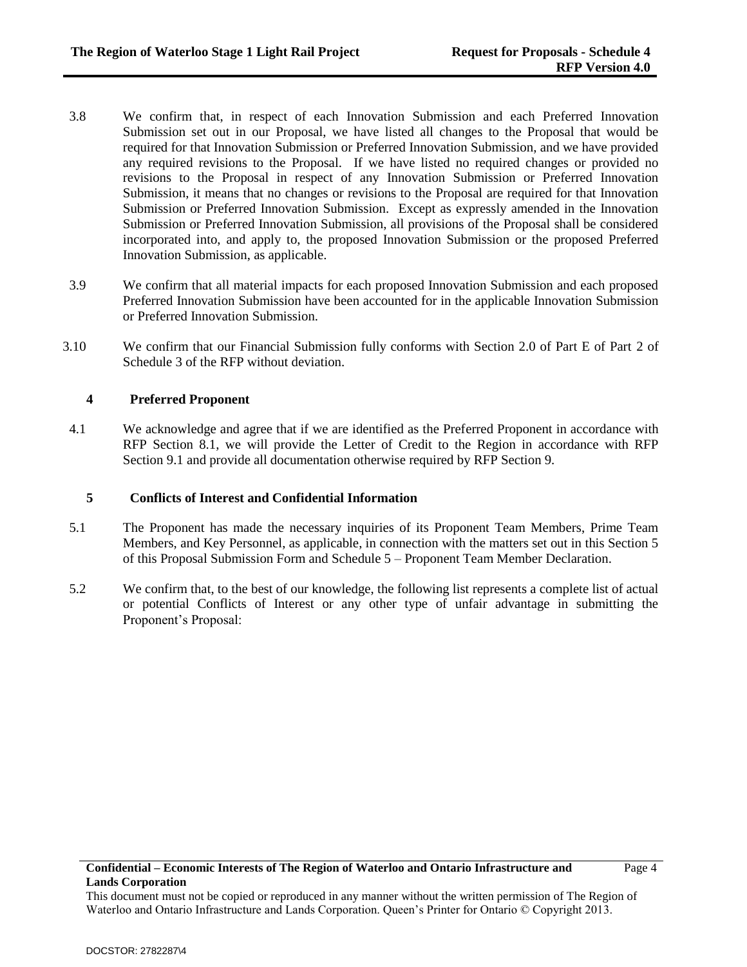- 3.8 We confirm that, in respect of each Innovation Submission and each Preferred Innovation Submission set out in our Proposal, we have listed all changes to the Proposal that would be required for that Innovation Submission or Preferred Innovation Submission, and we have provided any required revisions to the Proposal. If we have listed no required changes or provided no revisions to the Proposal in respect of any Innovation Submission or Preferred Innovation Submission, it means that no changes or revisions to the Proposal are required for that Innovation Submission or Preferred Innovation Submission. Except as expressly amended in the Innovation Submission or Preferred Innovation Submission, all provisions of the Proposal shall be considered incorporated into, and apply to, the proposed Innovation Submission or the proposed Preferred Innovation Submission, as applicable.
- 3.9 We confirm that all material impacts for each proposed Innovation Submission and each proposed Preferred Innovation Submission have been accounted for in the applicable Innovation Submission or Preferred Innovation Submission.
- 3.10 We confirm that our Financial Submission fully conforms with Section 2.0 of Part E of Part 2 of Schedule 3 of the RFP without deviation.

## **4 Preferred Proponent**

4.1 We acknowledge and agree that if we are identified as the Preferred Proponent in accordance with RFP Section 8.1, we will provide the Letter of Credit to the Region in accordance with RFP Section 9.1 and provide all documentation otherwise required by RFP Section 9.

### **5 Conflicts of Interest and Confidential Information**

- 5.1 The Proponent has made the necessary inquiries of its Proponent Team Members, Prime Team Members, and Key Personnel, as applicable, in connection with the matters set out in this Section 5 of this Proposal Submission Form and Schedule 5 – Proponent Team Member Declaration.
- 5.2 We confirm that, to the best of our knowledge, the following list represents a complete list of actual or potential Conflicts of Interest or any other type of unfair advantage in submitting the Proponent's Proposal:

This document must not be copied or reproduced in any manner without the written permission of The Region of Waterloo and Ontario Infrastructure and Lands Corporation. Queen's Printer for Ontario © Copyright 2013.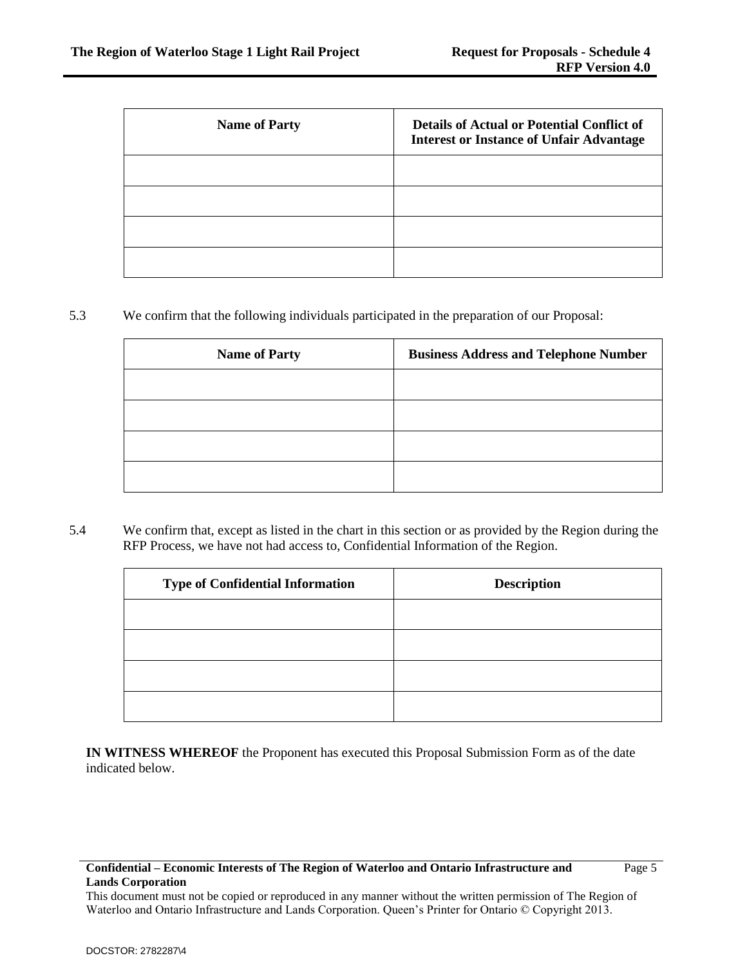| <b>Name of Party</b> | <b>Details of Actual or Potential Conflict of</b><br><b>Interest or Instance of Unfair Advantage</b> |
|----------------------|------------------------------------------------------------------------------------------------------|
|                      |                                                                                                      |
|                      |                                                                                                      |
|                      |                                                                                                      |
|                      |                                                                                                      |

# 5.3 We confirm that the following individuals participated in the preparation of our Proposal:

| <b>Name of Party</b> | <b>Business Address and Telephone Number</b> |
|----------------------|----------------------------------------------|
|                      |                                              |
|                      |                                              |
|                      |                                              |
|                      |                                              |

5.4 We confirm that, except as listed in the chart in this section or as provided by the Region during the RFP Process, we have not had access to, Confidential Information of the Region.

| <b>Type of Confidential Information</b> | <b>Description</b> |
|-----------------------------------------|--------------------|
|                                         |                    |
|                                         |                    |
|                                         |                    |
|                                         |                    |

**IN WITNESS WHEREOF** the Proponent has executed this Proposal Submission Form as of the date indicated below.

### **Confidential – Economic Interests of The Region of Waterloo and Ontario Infrastructure and Lands Corporation**

This document must not be copied or reproduced in any manner without the written permission of The Region of Waterloo and Ontario Infrastructure and Lands Corporation. Queen's Printer for Ontario © Copyright 2013.